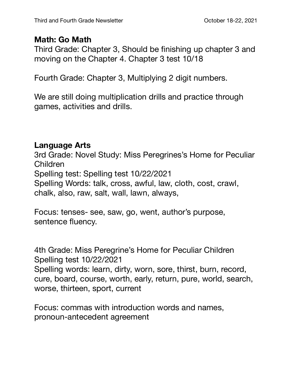## **Math: Go Math**

Third Grade: Chapter 3, Should be finishing up chapter 3 and moving on the Chapter 4. Chapter 3 test 10/18

Fourth Grade: Chapter 3, Multiplying 2 digit numbers.

We are still doing multiplication drills and practice through games, activities and drills.

## **Language Arts**

3rd Grade: Novel Study: Miss Peregrines's Home for Peculiar Children Spelling test: Spelling test 10/22/2021 Spelling Words: talk, cross, awful, law, cloth, cost, crawl, chalk, also, raw, salt, wall, lawn, always,

Focus: tenses- see, saw, go, went, author's purpose, sentence fluency.

4th Grade: Miss Peregrine's Home for Peculiar Children Spelling test 10/22/2021 Spelling words: learn, dirty, worn, sore, thirst, burn, record, cure, board, course, worth, early, return, pure, world, search, worse, thirteen, sport, current

Focus: commas with introduction words and names, pronoun-antecedent agreement